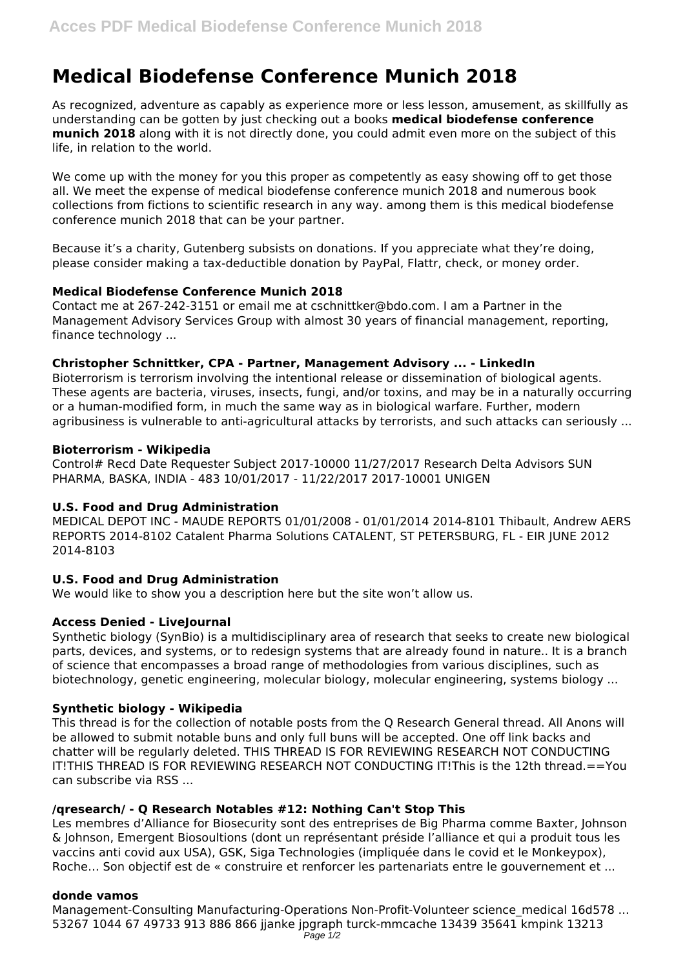# **Medical Biodefense Conference Munich 2018**

As recognized, adventure as capably as experience more or less lesson, amusement, as skillfully as understanding can be gotten by just checking out a books **medical biodefense conference munich 2018** along with it is not directly done, you could admit even more on the subject of this life, in relation to the world.

We come up with the money for you this proper as competently as easy showing off to get those all. We meet the expense of medical biodefense conference munich 2018 and numerous book collections from fictions to scientific research in any way. among them is this medical biodefense conference munich 2018 that can be your partner.

Because it's a charity, Gutenberg subsists on donations. If you appreciate what they're doing, please consider making a tax-deductible donation by PayPal, Flattr, check, or money order.

# **Medical Biodefense Conference Munich 2018**

Contact me at 267-242-3151 or email me at cschnittker@bdo.com. I am a Partner in the Management Advisory Services Group with almost 30 years of financial management, reporting, finance technology ...

#### **Christopher Schnittker, CPA - Partner, Management Advisory ... - LinkedIn**

Bioterrorism is terrorism involving the intentional release or dissemination of biological agents. These agents are bacteria, viruses, insects, fungi, and/or toxins, and may be in a naturally occurring or a human-modified form, in much the same way as in biological warfare. Further, modern agribusiness is vulnerable to anti-agricultural attacks by terrorists, and such attacks can seriously ...

#### **Bioterrorism - Wikipedia**

Control# Recd Date Requester Subject 2017-10000 11/27/2017 Research Delta Advisors SUN PHARMA, BASKA, INDIA - 483 10/01/2017 - 11/22/2017 2017-10001 UNIGEN

# **U.S. Food and Drug Administration**

MEDICAL DEPOT INC - MAUDE REPORTS 01/01/2008 - 01/01/2014 2014-8101 Thibault, Andrew AERS REPORTS 2014-8102 Catalent Pharma Solutions CATALENT, ST PETERSBURG, FL - EIR JUNE 2012 2014-8103

# **U.S. Food and Drug Administration**

We would like to show you a description here but the site won't allow us.

# **Access Denied - LiveJournal**

Synthetic biology (SynBio) is a multidisciplinary area of research that seeks to create new biological parts, devices, and systems, or to redesign systems that are already found in nature.. It is a branch of science that encompasses a broad range of methodologies from various disciplines, such as biotechnology, genetic engineering, molecular biology, molecular engineering, systems biology ...

# **Synthetic biology - Wikipedia**

This thread is for the collection of notable posts from the Q Research General thread. All Anons will be allowed to submit notable buns and only full buns will be accepted. One off link backs and chatter will be regularly deleted. THIS THREAD IS FOR REVIEWING RESEARCH NOT CONDUCTING IT!THIS THREAD IS FOR REVIEWING RESEARCH NOT CONDUCTING IT!This is the 12th thread.==You can subscribe via RSS ...

#### **/qresearch/ - Q Research Notables #12: Nothing Can't Stop This**

Les membres d'Alliance for Biosecurity sont des entreprises de Big Pharma comme Baxter, Johnson & Johnson, Emergent Biosoultions (dont un représentant préside l'alliance et qui a produit tous les vaccins anti covid aux USA), GSK, Siga Technologies (impliquée dans le covid et le Monkeypox), Roche… Son objectif est de « construire et renforcer les partenariats entre le gouvernement et ...

#### **donde vamos**

Management-Consulting Manufacturing-Operations Non-Profit-Volunteer science medical 16d578 ... 53267 1044 67 49733 913 886 866 jjanke jpgraph turck-mmcache 13439 35641 kmpink 13213 Page 1/2